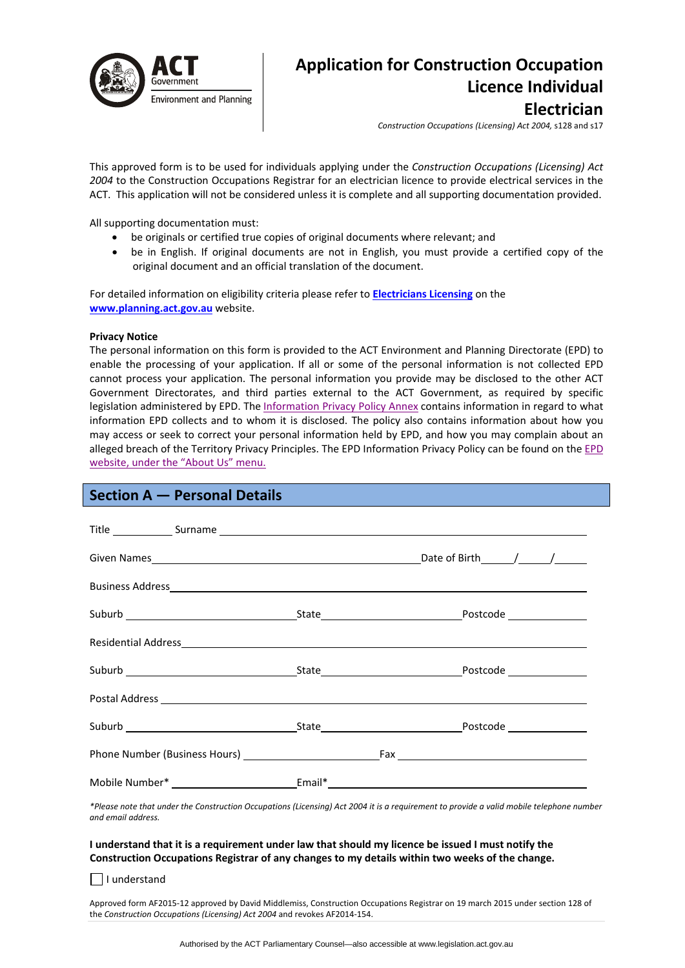

# **Application for Construction Occupation Licence Individual Electrician**

*Construction Occupations (Licensing) Act 2004,* s128 and s17

This approved form is to be used for individuals applying under the *Construction Occupations (Licensing) Act 2004* to the Construction Occupations Registrar for an electrician licence to provide electrical services in the ACT. This application will not be considered unless it is complete and all supporting documentation provided.

All supporting documentation must:

- be originals or certified true copies of original documents where relevant; and
- be in English. If original documents are not in English, you must provide a certified copy of the original document and an official translation of the document.

For detailed information on eligibility criteria please refer to **[Electricians](http://www.actpla.act.gov.au/topics/hiring_licensing/licence_registration/electricians) Licensing** on the **[www.planning.act.gov.au](http://www.planning.act.gov.au/)** website.

#### **Privacy Notice**

The personal information on this form is provided to the ACT Environment and Planning Directorate (EPD) to enable the processing of your application. If all or some of the personal information is not collected EPD cannot process your application. The personal information you provide may be disclosed to the other ACT Government Directorates, and third parties external to the ACT Government, as required by specific legislation administered by EPD. The [Information](http://www.environment.act.gov.au/__data/assets/pdf_file/0006/633741/Information-Privacy-Policy-Annex.pdf) Privacy Policy Annex contains information in regard to what information EPD collects and to whom it is disclosed. The policy also contains information about how you may access or seek to correct your personal information held by EPD, and how you may complain about an alleged breach of the Territory Privacy Principles. The EPD Information Privacy Policy can be found on the [EPD](http://www.environment.act.gov.au/about/privacy) [website,](http://www.environment.act.gov.au/about/privacy) under the "About Us" menu.

## **Section A — Personal Details**

| Title Surname Surname Surname Surname Surname Surname Surname Surname Surname Surname Surname Surname Surname Surname Surname Surname Surname Surname Surname Surname Surname Surname Surname Surname Surname Surname Surname  |  |
|--------------------------------------------------------------------------------------------------------------------------------------------------------------------------------------------------------------------------------|--|
|                                                                                                                                                                                                                                |  |
|                                                                                                                                                                                                                                |  |
|                                                                                                                                                                                                                                |  |
| Residential Address and the contract of the contract of the contract of the contract of the contract of the contract of the contract of the contract of the contract of the contract of the contract of the contract of the co |  |
|                                                                                                                                                                                                                                |  |
|                                                                                                                                                                                                                                |  |
|                                                                                                                                                                                                                                |  |
|                                                                                                                                                                                                                                |  |
|                                                                                                                                                                                                                                |  |

\*Please note that under the Construction Occupations (Licensing) Act 2004 it is a requirement to provide a valid mobile telephone number *and email address.* 

#### I understand that it is a requirement under law that should my licence be issued I must notify the **Construction Occupations Registrar of any changes to my details within two weeks of the change.**

I understand

Approved form AF2015‐12 approved by David Middlemiss, Construction Occupations Registrar on 19 march 2015 under section 128 of the *Construction Occupations (Licensing) Act 2004* and revokes AF2014‐154.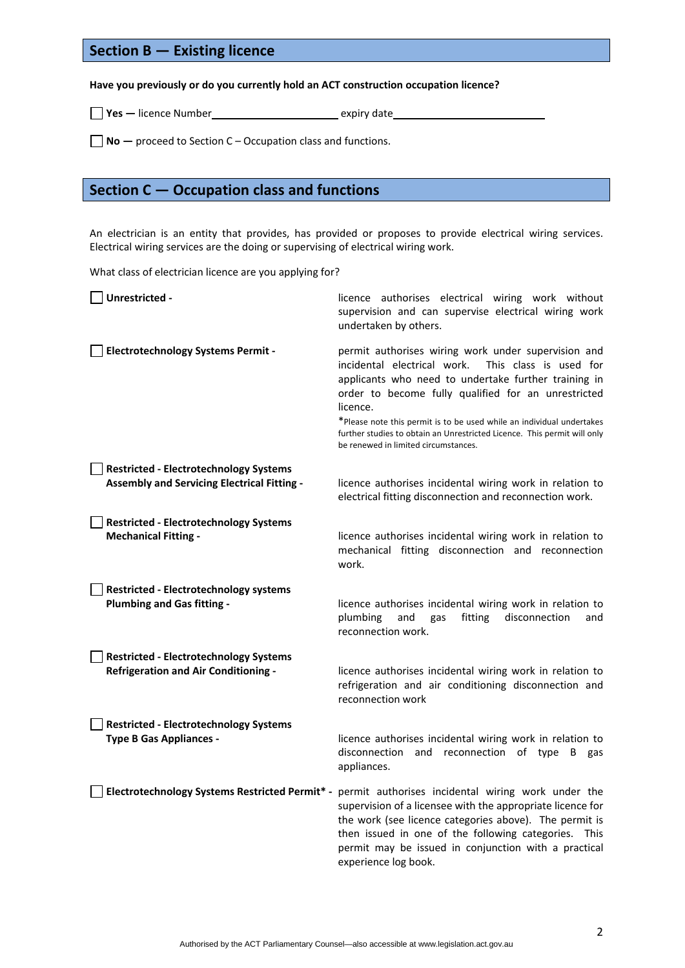## **Section B — Existing licence**

## **Have you previously or do you currently hold an ACT construction occupation licence?**

**Yes —** licence Number expiry date

**No —** proceed to Section C – Occupation class and functions.

## **Section C — Occupation class and functions**

An electrician is an entity that provides, has provided or proposes to provide electrical wiring services. Electrical wiring services are the doing or supervising of electrical wiring work.

What class of electrician licence are you applying for?

| Unrestricted -                                                                                      | licence authorises electrical wiring work without<br>supervision and can supervise electrical wiring work<br>undertaken by others.                                                                                                                                                                                                                                                                                                   |
|-----------------------------------------------------------------------------------------------------|--------------------------------------------------------------------------------------------------------------------------------------------------------------------------------------------------------------------------------------------------------------------------------------------------------------------------------------------------------------------------------------------------------------------------------------|
| <b>Electrotechnology Systems Permit -</b>                                                           | permit authorises wiring work under supervision and<br>incidental electrical work.<br>This class is used for<br>applicants who need to undertake further training in<br>order to become fully qualified for an unrestricted<br>licence.<br>*Please note this permit is to be used while an individual undertakes<br>further studies to obtain an Unrestricted Licence. This permit will only<br>be renewed in limited circumstances. |
| <b>Restricted - Electrotechnology Systems</b><br><b>Assembly and Servicing Electrical Fitting -</b> | licence authorises incidental wiring work in relation to<br>electrical fitting disconnection and reconnection work.                                                                                                                                                                                                                                                                                                                  |
| <b>Restricted - Electrotechnology Systems</b><br><b>Mechanical Fitting -</b>                        | licence authorises incidental wiring work in relation to<br>mechanical fitting disconnection and reconnection<br>work.                                                                                                                                                                                                                                                                                                               |
| <b>Restricted - Electrotechnology systems</b><br><b>Plumbing and Gas fitting -</b>                  | licence authorises incidental wiring work in relation to<br>plumbing<br>fitting<br>disconnection<br>and<br>gas<br>and<br>reconnection work.                                                                                                                                                                                                                                                                                          |
| <b>Restricted - Electrotechnology Systems</b><br><b>Refrigeration and Air Conditioning -</b>        | licence authorises incidental wiring work in relation to<br>refrigeration and air conditioning disconnection and<br>reconnection work                                                                                                                                                                                                                                                                                                |
| <b>Restricted - Electrotechnology Systems</b><br><b>Type B Gas Appliances -</b>                     | licence authorises incidental wiring work in relation to<br>and reconnection of type B gas<br>disconnection<br>appliances.                                                                                                                                                                                                                                                                                                           |
|                                                                                                     | Electrotechnology Systems Restricted Permit* - permit authorises incidental wiring work under the<br>supervision of a licensee with the appropriate licence for<br>the work (see licence categories above). The permit is<br>then issued in one of the following categories. This<br>permit may be issued in conjunction with a practical<br>experience log book.                                                                    |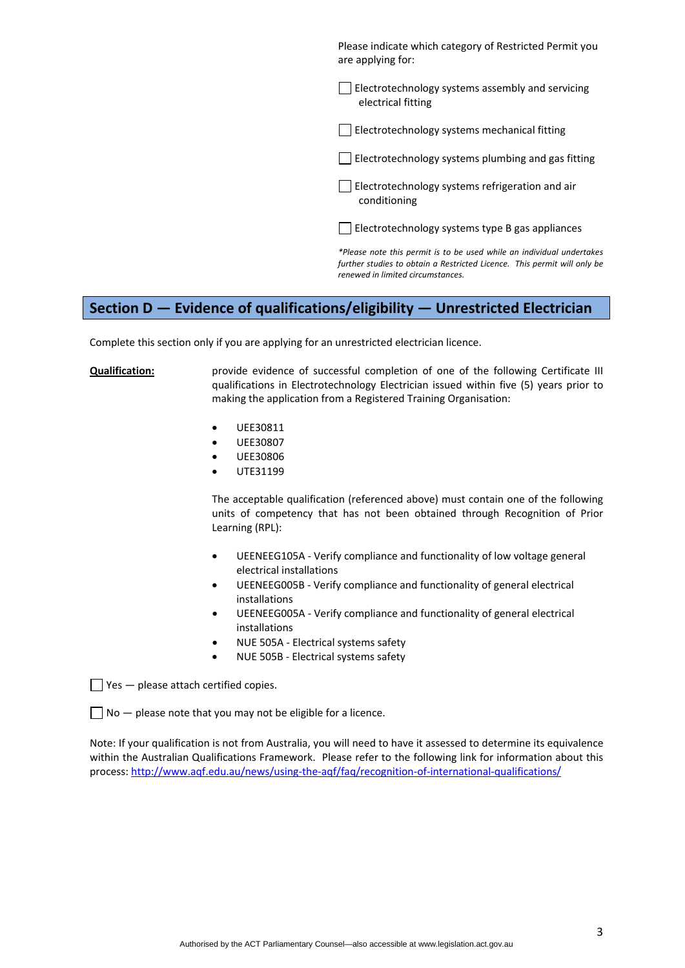Please indicate which category of Restricted Permit you are applying for:

Electrotechnology systems assembly and servicing electrical fitting

 $\Box$  Electrotechnology systems mechanical fitting

 $\Box$  Electrotechnology systems plumbing and gas fitting

Electrotechnology systems refrigeration and air conditioning

 $\Box$  Electrotechnology systems type B gas appliances

*\*Please note this permit is to be used while an individual undertakes further studies to obtain a Restricted Licence. This permit will only be renewed in limited circumstances.* 

## **Section D — Evidence of qualifications/eligibility — Unrestricted Electrician**

Complete this section only if you are applying for an unrestricted electrician licence.

**Qualification:** provide evidence of successful completion of one of the following Certificate III qualifications in Electrotechnology Electrician issued within five (5) years prior to making the application from a Registered Training Organisation:

- UEE30811
- UEE30807
- UEE30806
- UTE31199

The acceptable qualification (referenced above) must contain one of the following units of competency that has not been obtained through Recognition of Prior Learning (RPL):

- UEENEEG105A ‐ Verify compliance and functionality of low voltage general electrical installations
- UEENEEG005B ‐ Verify compliance and functionality of general electrical installations
- UEENEEG005A ‐ Verify compliance and functionality of general electrical installations
- NUE 505A Electrical systems safety
- NUE 505B ‐ Electrical systems safety

 $\Box$  Yes  $-$  please attach certified copies.

 $\Box$  No  $-$  please note that you may not be eligible for a licence.

Note: If your qualification is not from Australia, you will need to have it assessed to determine its equivalence within the Australian Qualifications Framework. Please refer to the following link for information about this process: [http://www.aqf.edu.au/news/using](http://www.aqf.edu.au/news/using-the-aqf/faq/recognition-of-international-qualifications/)‐the‐aqf/faq/recognition‐of‐international‐qualifications/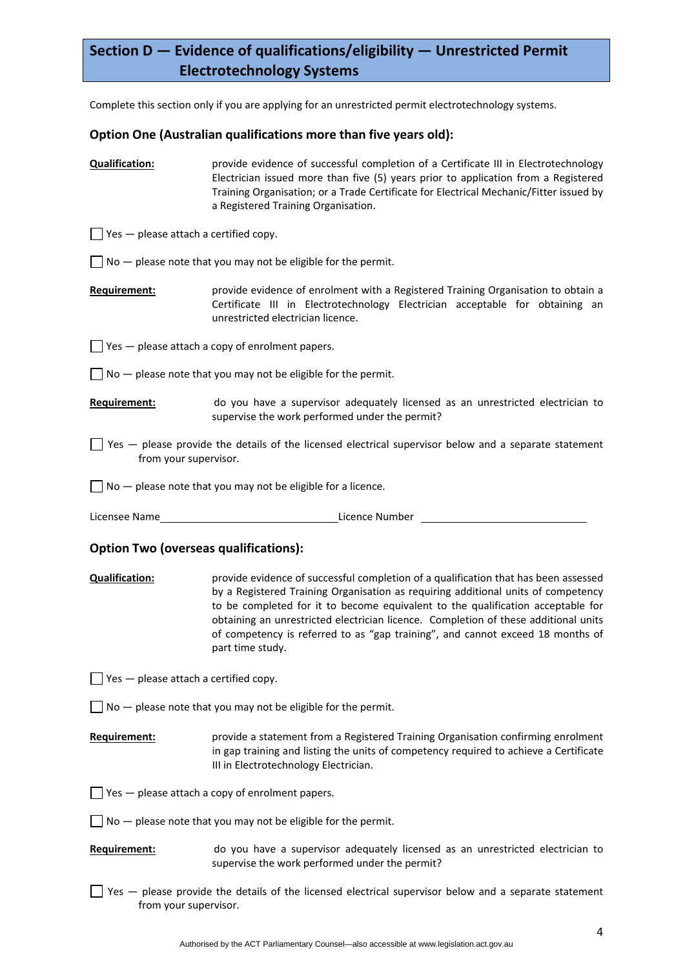# **Section D — Evidence of qualifications/eligibility — Unrestricted Permit Electrotechnology Systems**

Complete this section only if you are applying for an unrestricted permit electrotechnology systems.

## **Option One (Australian qualifications more than five years old):**

**Qualification:** provide evidence of successful completion of a Certificate III in Electrotechnology Electrician issued more than five (5) years prior to application from a Registered Training Organisation; or a Trade Certificate for Electrical Mechanic/Fitter issued by a Registered Training Organisation.

 $\Box$  Yes  $-$  please attach a certified copy.

 $\Box$  No  $-$  please note that you may not be eligible for the permit.

**Requirement:** provide evidence of enrolment with a Registered Training Organisation to obtain a Certificate III in Electrotechnology Electrician acceptable for obtaining an unrestricted electrician licence.

 $\Box$  Yes  $-$  please attach a copy of enrolment papers.

- $\Box$  No  $-$  please note that you may not be eligible for the permit.
- **Requirement: example 20 do** you have a supervisor adequately licensed as an unrestricted electrician to supervise the work performed under the permit?
- $\Box$  Yes  $-$  please provide the details of the licensed electrical supervisor below and a separate statement from your supervisor.

 $\Box$  No  $-$  please note that you may not be eligible for a licence.

Licensee Name Licence Number

## **Option Two (overseas qualifications):**

**Qualification:** provide evidence of successful completion of a qualification that has been assessed by a Registered Training Organisation as requiring additional units of competency to be completed for it to become equivalent to the qualification acceptable for obtaining an unrestricted electrician licence. Completion of these additional units of competency is referred to as "gap training", and cannot exceed 18 months of part time study.

 $\Box$  Yes  $-$  please attach a certified copy.

 $\Box$  No  $-$  please note that you may not be eligible for the permit.

**Requirement:** provide a statement from a Registered Training Organisation confirming enrolment in gap training and listing the units of competency required to achieve a Certificate III in Electrotechnology Electrician.

 $\Box$  Yes  $-$  please attach a copy of enrolment papers.

 $\Box$  No  $-$  please note that you may not be eligible for the permit.

## **Requirement:** do you have a supervisor adequately licensed as an unrestricted electrician to supervise the work performed under the permit?

 $\Box$  Yes  $-$  please provide the details of the licensed electrical supervisor below and a separate statement from your supervisor.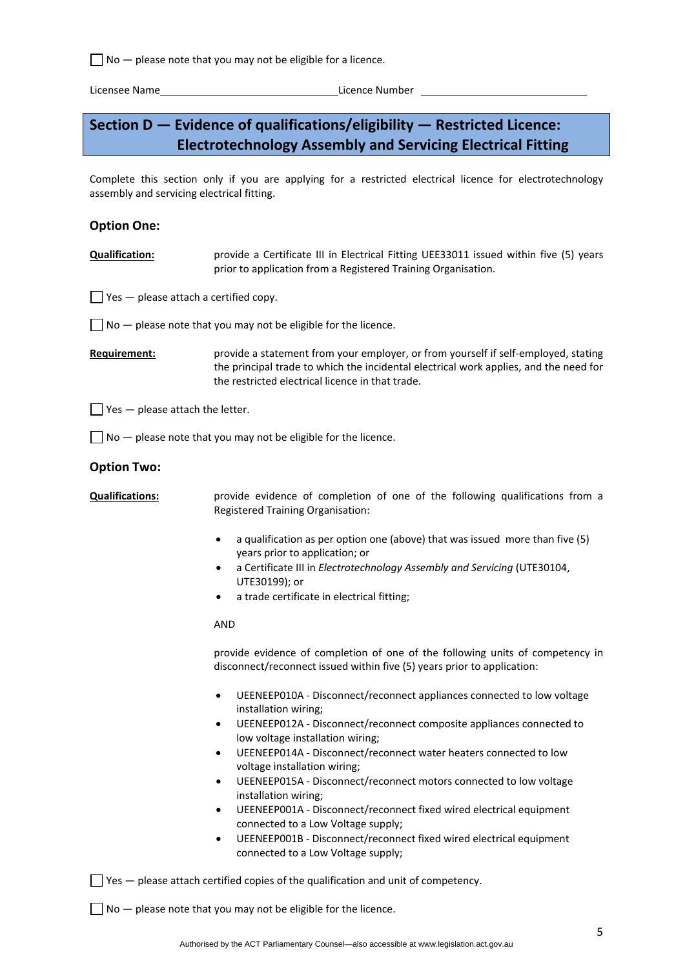$\Box$  No  $-$  please note that you may not be eligible for a licence.

Licensee Name **Internal Contract Contract Contract Contract Contract Contract Contract Contract Contract Contract Contract Contract Contract Contract Contract Contract Contract Contract Contract Contract Contract Contract** 

# **Section D — Evidence of qualifications/eligibility — Restricted Licence: Electrotechnology Assembly and Servicing Electrical Fitting**

Complete this section only if you are applying for a restricted electrical licence for electrotechnology assembly and servicing electrical fitting.

## **Option One:**

- **Qualification:** provide a Certificate III in Electrical Fitting UEE33011 issued within five (5) years prior to application from a Registered Training Organisation.
- $\Box$  Yes  $-$  please attach a certified copy.

 $\vert \ \vert$  No  $-$  please note that you may not be eligible for the licence.

**Requirement: brovide a statement from your employer, or from yourself if self-employed, stating** the principal trade to which the incidental electrical work applies, and the need for the restricted electrical licence in that trade.

 $\Box$  Yes  $-$  please attach the letter.

 $\Box$  No  $-$  please note that you may not be eligible for the licence.

### **Option Two:**

**Qualifications: provide evidence of completion of one of the following qualifications from a** Registered Training Organisation:

- a qualification as per option one (above) that was issued more than five (5) years prior to application; or
- a Certificate III in *Electrotechnology Assembly and Servicing* (UTE30104, UTE30199); or
- a trade certificate in electrical fitting;

## AND

provide evidence of completion of one of the following units of competency in disconnect/reconnect issued within five (5) years prior to application:

- UEENEEP010A ‐ Disconnect/reconnect appliances connected to low voltage installation wiring;
- UEENEEP012A ‐ Disconnect/reconnect composite appliances connected to low voltage installation wiring;
- UEENEEP014A ‐ Disconnect/reconnect water heaters connected to low voltage installation wiring;
- UEENEEP015A ‐ Disconnect/reconnect motors connected to low voltage installation wiring;
- UEENEEP001A ‐ Disconnect/reconnect fixed wired electrical equipment connected to a Low Voltage supply;
- UEENEEP001B ‐ Disconnect/reconnect fixed wired electrical equipment connected to a Low Voltage supply;

 $\Box$  Yes  $-$  please attach certified copies of the qualification and unit of competency.

 $\Box$  No  $-$  please note that you may not be eligible for the licence.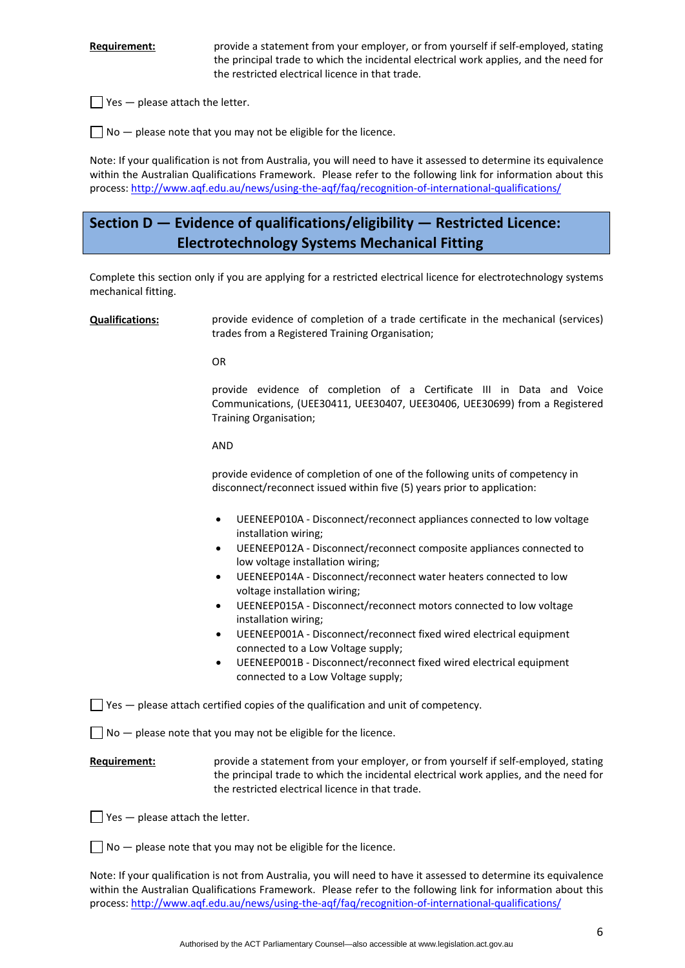**Requirement:** *provide a statement from your employer, or from yourself if self-employed, stating* the principal trade to which the incidental electrical work applies, and the need for the restricted electrical licence in that trade.

 $\Box$  Yes  $-$  please attach the letter.

 $\Box$  No  $-$  please note that you may not be eligible for the licence.

Note: If your qualification is not from Australia, you will need to have it assessed to determine its equivalence within the Australian Qualifications Framework. Please refer to the following link for information about this process: [http://www.aqf.edu.au/news/using](http://www.aqf.edu.au/news/using-the-aqf/faq/recognition-of-international-qualifications/)‐the‐aqf/faq/recognition‐of‐international‐qualifications/

# **Section D — Evidence of qualifications/eligibility — Restricted Licence: Electrotechnology Systems Mechanical Fitting**

Complete this section only if you are applying for a restricted electrical licence for electrotechnology systems mechanical fitting.

| <b>Qualifications:</b> | provide evidence of completion of a trade certificate in the mechanical (services)<br>trades from a Registered Training Organisation;                                                                                           |
|------------------------|---------------------------------------------------------------------------------------------------------------------------------------------------------------------------------------------------------------------------------|
|                        | <b>OR</b>                                                                                                                                                                                                                       |
|                        | provide evidence of completion of a Certificate III in Data and Voice<br>Communications, (UEE30411, UEE30407, UEE30406, UEE30699) from a Registered<br>Training Organisation;                                                   |
|                        | <b>AND</b>                                                                                                                                                                                                                      |
|                        | provide evidence of completion of one of the following units of competency in<br>disconnect/reconnect issued within five (5) years prior to application:                                                                        |
|                        | UEENEEP010A - Disconnect/reconnect appliances connected to low voltage<br>$\bullet$<br>installation wiring;                                                                                                                     |
|                        | UEENEEP012A - Disconnect/reconnect composite appliances connected to<br>٠<br>low voltage installation wiring;                                                                                                                   |
|                        | UEENEEP014A - Disconnect/reconnect water heaters connected to low<br>$\bullet$<br>voltage installation wiring;                                                                                                                  |
|                        | UEENEEP015A - Disconnect/reconnect motors connected to low voltage<br>$\bullet$<br>installation wiring;                                                                                                                         |
|                        | UEENEEP001A - Disconnect/reconnect fixed wired electrical equipment<br>٠<br>connected to a Low Voltage supply;                                                                                                                  |
|                        | UEENEEP001B - Disconnect/reconnect fixed wired electrical equipment<br>$\bullet$<br>connected to a Low Voltage supply;                                                                                                          |
|                        | $\blacksquare$ Yes $-$ please attach certified copies of the qualification and unit of competency.                                                                                                                              |
|                        | $No$ - please note that you may not be eligible for the licence.                                                                                                                                                                |
| Requirement:           | provide a statement from your employer, or from yourself if self-employed, stating<br>the principal trade to which the incidental electrical work applies, and the need for<br>the restricted electrical licence in that trade. |

 $\Box$  Yes  $-$  please attach the letter.

 $\Box$  No  $-$  please note that you may not be eligible for the licence.

Note: If your qualification is not from Australia, you will need to have it assessed to determine its equivalence within the Australian Qualifications Framework. Please refer to the following link for information about this process: [http://www.aqf.edu.au/news/using](http://www.aqf.edu.au/news/using-the-aqf/faq/recognition-of-international-qualifications/)‐the‐aqf/faq/recognition‐of‐international‐qualifications/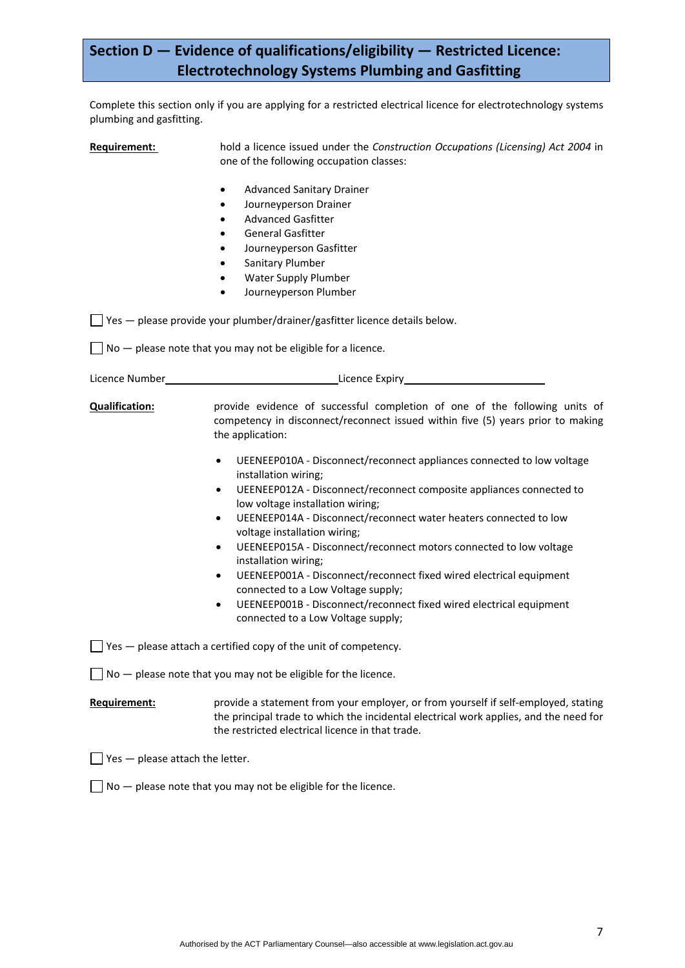# **Section D — Evidence of qualifications/eligibility — Restricted Licence: Electrotechnology Systems Plumbing and Gasfitting**

Complete this section only if you are applying for a restricted electrical licence for electrotechnology systems plumbing and gasfitting.

**Requirement:** hold a licence issued under the *Construction Occupations (Licensing) Act 2004* in one of the following occupation classes: Advanced Sanitary Drainer Journeyperson Drainer Advanced Gasfitter General Gasfitter Journeyperson Gasfitter Sanitary Plumber Water Supply Plumber Journeyperson Plumber  $\Box$  Yes — please provide your plumber/drainer/gasfitter licence details below.  $\Box$  No  $-$  please note that you may not be eligible for a licence. Licence Number **Contract Contract Contract Contract Contract Contract Contract Contract Contract Contract Contract Contract Contract Contract Contract Contract Contract Contract Contract Contract Contract Contract Contract Qualification:** provide evidence of successful completion of one of the following units of competency in disconnect/reconnect issued within five (5) years prior to making the application: UEENEEP010A ‐ Disconnect/reconnect appliances connected to low voltage installation wiring; UEENEEP012A ‐ Disconnect/reconnect composite appliances connected to low voltage installation wiring; UEENEEP014A ‐ Disconnect/reconnect water heaters connected to low voltage installation wiring; UEENEEP015A ‐ Disconnect/reconnect motors connected to low voltage installation wiring; UEENEEP001A ‐ Disconnect/reconnect fixed wired electrical equipment connected to a Low Voltage supply; UEENEEP001B ‐ Disconnect/reconnect fixed wired electrical equipment connected to a Low Voltage supply;  $\Box$  Yes — please attach a certified copy of the unit of competency.  $\Box$  No  $-$  please note that you may not be eligible for the licence. **Requirement: brovide a statement from your employer, or from yourself if self-employed, stating** the principal trade to which the incidental electrical work applies, and the need for the restricted electrical licence in that trade.  $\Box$  Yes  $-$  please attach the letter.  $\Box$  No  $-$  please note that you may not be eligible for the licence.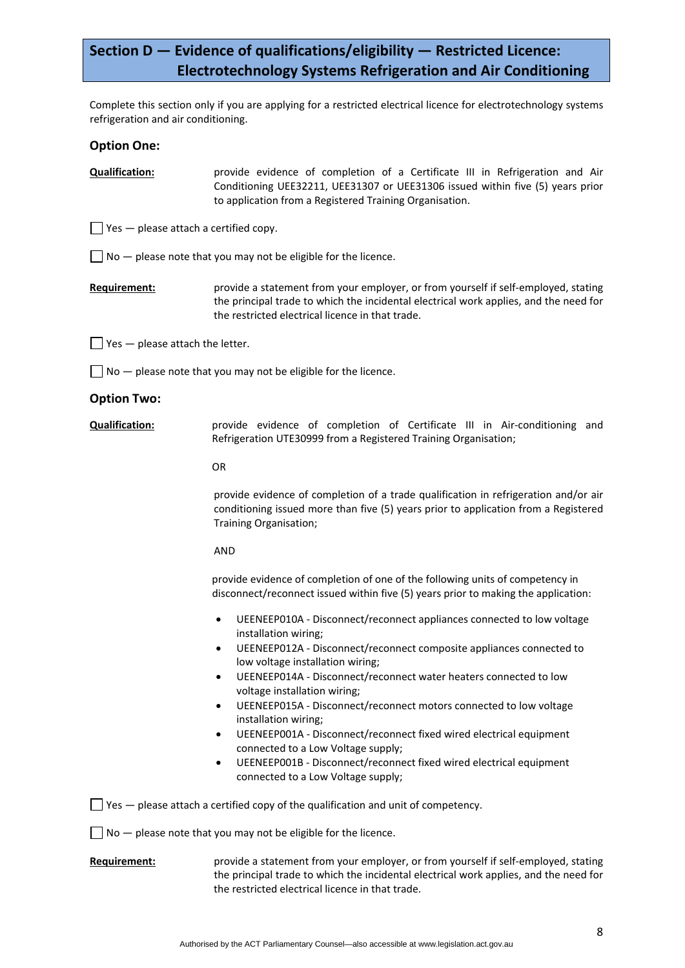# **Section D — Evidence of qualifications/eligibility — Restricted Licence: Electrotechnology Systems Refrigeration and Air Conditioning**

Complete this section only if you are applying for a restricted electrical licence for electrotechnology systems refrigeration and air conditioning.

## **Option One:**

**Qualification:** provide evidence of completion of a Certificate III in Refrigeration and Air Conditioning UEE32211, UEE31307 or UEE31306 issued within five (5) years prior to application from a Registered Training Organisation.

 $\Box$  Yes — please attach a certified copy.

 $\Box$  No  $-$  please note that you may not be eligible for the licence.

**Requirement:** *provide a statement from your employer, or from yourself if self-employed, stating* the principal trade to which the incidental electrical work applies, and the need for the restricted electrical licence in that trade.

 $\Box$  Yes  $-$  please attach the letter.

 $\Box$  No  $-$  please note that you may not be eligible for the licence.

#### **Option Two:**

**Qualification:** provide evidence of completion of Certificate III in Air‐conditioning and Refrigeration UTE30999 from a Registered Training Organisation;

OR

provide evidence of completion of a trade qualification in refrigeration and/or air conditioning issued more than five (5) years prior to application from a Registered Training Organisation;

#### AND

provide evidence of completion of one of the following units of competency in disconnect/reconnect issued within five (5) years prior to making the application:

- UEENEEP010A ‐ Disconnect/reconnect appliances connected to low voltage installation wiring;
- UEENEEP012A ‐ Disconnect/reconnect composite appliances connected to low voltage installation wiring;
- UEENEEP014A ‐ Disconnect/reconnect water heaters connected to low voltage installation wiring;
- UEENEEP015A ‐ Disconnect/reconnect motors connected to low voltage installation wiring;
- UEENEEP001A ‐ Disconnect/reconnect fixed wired electrical equipment connected to a Low Voltage supply;
- UEENEEP001B ‐ Disconnect/reconnect fixed wired electrical equipment connected to a Low Voltage supply;

 $\Box$  Yes  $-$  please attach a certified copy of the qualification and unit of competency.

 $\Box$  No  $-$  please note that you may not be eligible for the licence.

## **Requirement:** provide a statement from your employer, or from yourself if self-employed, stating the principal trade to which the incidental electrical work applies, and the need for the restricted electrical licence in that trade.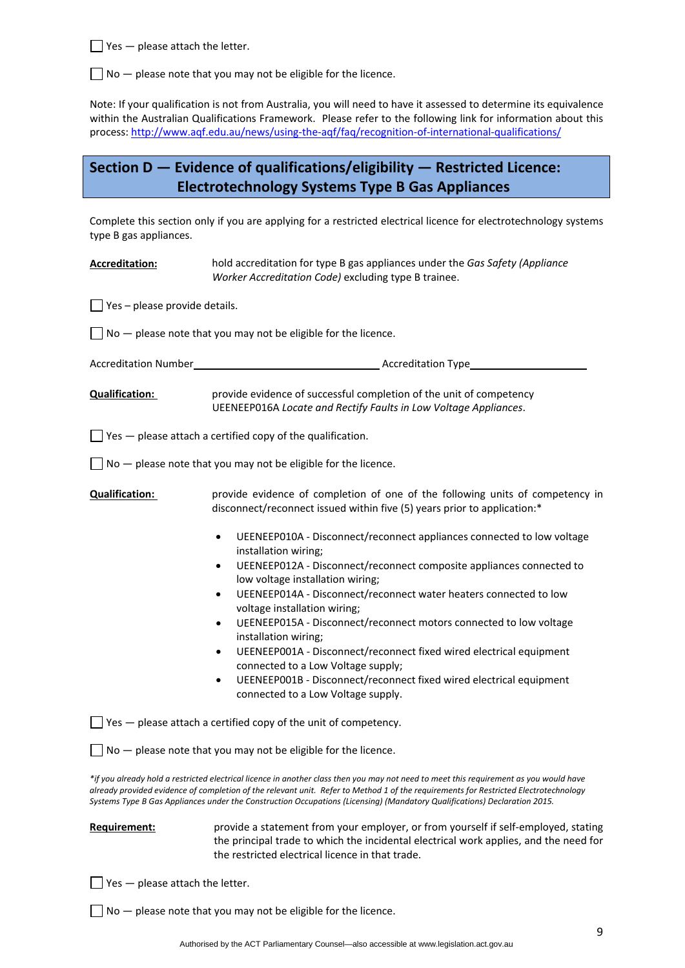$\Box$  Yes  $-$  please attach the letter.

 $\Box$  No  $-$  please note that you may not be eligible for the licence.

Note: If your qualification is not from Australia, you will need to have it assessed to determine its equivalence within the Australian Qualifications Framework. Please refer to the following link for information about this process: [http://www.aqf.edu.au/news/using](http://www.aqf.edu.au/news/using-the-aqf/faq/recognition-of-international-qualifications/)‐the‐aqf/faq/recognition‐of‐international‐qualifications/

# **Section D — Evidence of qualifications/eligibility — Restricted Licence: Electrotechnology Systems Type B Gas Appliances**

Complete this section only if you are applying for a restricted electrical licence for electrotechnology systems type B gas appliances.

| <b>Accreditation:</b>                        | hold accreditation for type B gas appliances under the Gas Safety (Appliance<br>Worker Accreditation Code) excluding type B trainee.                                                                                                                                                                                                                                                                                                                                                                                                                                                                                                                                                                                                                                                                                            |
|----------------------------------------------|---------------------------------------------------------------------------------------------------------------------------------------------------------------------------------------------------------------------------------------------------------------------------------------------------------------------------------------------------------------------------------------------------------------------------------------------------------------------------------------------------------------------------------------------------------------------------------------------------------------------------------------------------------------------------------------------------------------------------------------------------------------------------------------------------------------------------------|
| $\blacksquare$ Yes – please provide details. |                                                                                                                                                                                                                                                                                                                                                                                                                                                                                                                                                                                                                                                                                                                                                                                                                                 |
|                                              | $\Box$ No $-$ please note that you may not be eligible for the licence.                                                                                                                                                                                                                                                                                                                                                                                                                                                                                                                                                                                                                                                                                                                                                         |
|                                              |                                                                                                                                                                                                                                                                                                                                                                                                                                                                                                                                                                                                                                                                                                                                                                                                                                 |
| <b>Qualification:</b>                        | provide evidence of successful completion of the unit of competency<br>UEENEEP016A Locate and Rectify Faults in Low Voltage Appliances.                                                                                                                                                                                                                                                                                                                                                                                                                                                                                                                                                                                                                                                                                         |
|                                              | $\Box$ Yes $-$ please attach a certified copy of the qualification.                                                                                                                                                                                                                                                                                                                                                                                                                                                                                                                                                                                                                                                                                                                                                             |
|                                              | $\Box$ No $-$ please note that you may not be eligible for the licence.                                                                                                                                                                                                                                                                                                                                                                                                                                                                                                                                                                                                                                                                                                                                                         |
| <b>Qualification:</b>                        | provide evidence of completion of one of the following units of competency in<br>disconnect/reconnect issued within five (5) years prior to application:*<br>UEENEEP010A - Disconnect/reconnect appliances connected to low voltage<br>$\bullet$<br>installation wiring;<br>UEENEEP012A - Disconnect/reconnect composite appliances connected to<br>$\bullet$<br>low voltage installation wiring;<br>UEENEEP014A - Disconnect/reconnect water heaters connected to low<br>$\bullet$<br>voltage installation wiring;<br>UEENEEP015A - Disconnect/reconnect motors connected to low voltage<br>$\bullet$<br>installation wiring;<br>UEENEEP001A - Disconnect/reconnect fixed wired electrical equipment<br>connected to a Low Voltage supply;<br>UEENEEP001B - Disconnect/reconnect fixed wired electrical equipment<br>$\bullet$ |
|                                              | connected to a Low Voltage supply.                                                                                                                                                                                                                                                                                                                                                                                                                                                                                                                                                                                                                                                                                                                                                                                              |
|                                              | $\Box$ Yes $-$ please attach a certified copy of the unit of competency.<br>$\Box$ No $-$ please note that you may not be eligible for the licence.                                                                                                                                                                                                                                                                                                                                                                                                                                                                                                                                                                                                                                                                             |
|                                              | *if you already hold a restricted electrical licence in another class then you may not need to meet this requirement as you would have<br>already provided evidence of completion of the relevant unit. Refer to Method 1 of the requirements for Restricted Electrotechnology<br>Systems Type B Gas Appliances under the Construction Occupations (Licensing) (Mandatory Qualifications) Declaration 2015.                                                                                                                                                                                                                                                                                                                                                                                                                     |

## **Requirement:** *provide a statement from your employer, or from yourself if self-employed, stating* the principal trade to which the incidental electrical work applies, and the need for the restricted electrical licence in that trade.

 $\Box$  Yes  $-$  please attach the letter.

 $\Box$  No  $-$  please note that you may not be eligible for the licence.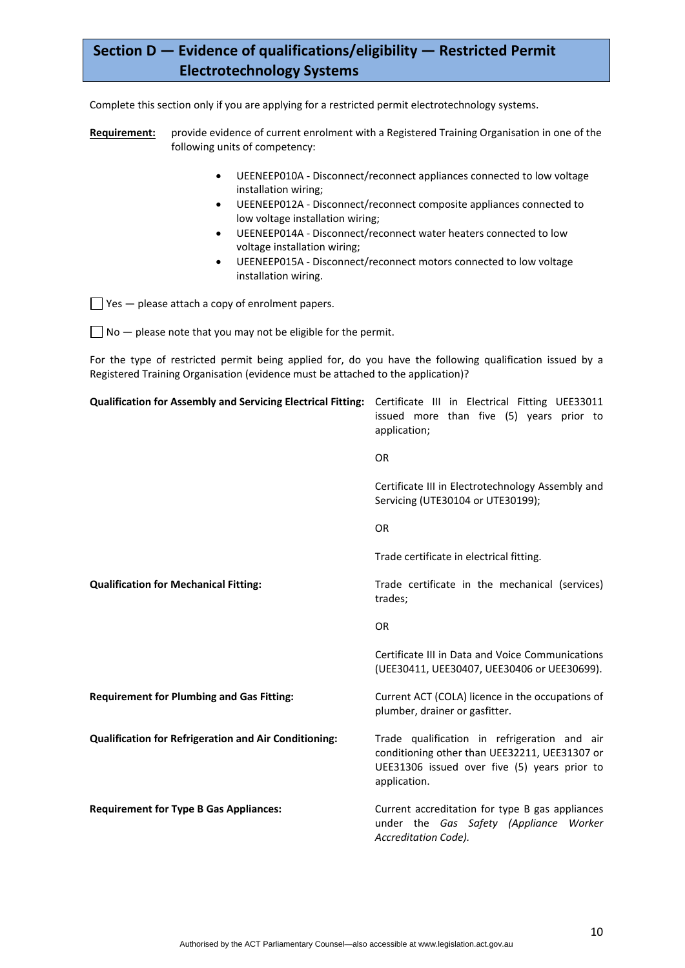# **Section D — Evidence of qualifications/eligibility — Restricted Permit Electrotechnology Systems**

Complete this section only if you are applying for a restricted permit electrotechnology systems.

- **Requirement:** provide evidence of current enrolment with a Registered Training Organisation in one of the following units of competency:
	- UEENEEP010A ‐ Disconnect/reconnect appliances connected to low voltage installation wiring;
	- UEENEEP012A ‐ Disconnect/reconnect composite appliances connected to low voltage installation wiring;
	- UEENEEP014A ‐ Disconnect/reconnect water heaters connected to low voltage installation wiring;
	- UEENEEP015A ‐ Disconnect/reconnect motors connected to low voltage installation wiring.

 $\Box$  Yes  $-$  please attach a copy of enrolment papers.

 $\Box$  No  $-$  please note that you may not be eligible for the permit.

For the type of restricted permit being applied for, do you have the following qualification issued by a Registered Training Organisation (evidence must be attached to the application)?

| Qualification for Assembly and Servicing Electrical Fitting: Certificate III in Electrical Fitting UEE33011 | issued more than five (5) years prior to<br>application;                                                                                                      |
|-------------------------------------------------------------------------------------------------------------|---------------------------------------------------------------------------------------------------------------------------------------------------------------|
|                                                                                                             | <b>OR</b>                                                                                                                                                     |
|                                                                                                             | Certificate III in Electrotechnology Assembly and<br>Servicing (UTE30104 or UTE30199);                                                                        |
|                                                                                                             | <b>OR</b>                                                                                                                                                     |
|                                                                                                             | Trade certificate in electrical fitting.                                                                                                                      |
| <b>Qualification for Mechanical Fitting:</b>                                                                | Trade certificate in the mechanical (services)<br>trades;                                                                                                     |
|                                                                                                             | <b>OR</b>                                                                                                                                                     |
|                                                                                                             | Certificate III in Data and Voice Communications<br>(UEE30411, UEE30407, UEE30406 or UEE30699).                                                               |
| <b>Requirement for Plumbing and Gas Fitting:</b>                                                            | Current ACT (COLA) licence in the occupations of<br>plumber, drainer or gasfitter.                                                                            |
| <b>Qualification for Refrigeration and Air Conditioning:</b>                                                | Trade qualification in refrigeration and air<br>conditioning other than UEE32211, UEE31307 or<br>UEE31306 issued over five (5) years prior to<br>application. |
| <b>Requirement for Type B Gas Appliances:</b>                                                               | Current accreditation for type B gas appliances<br>under the Gas Safety (Appliance Worker<br>Accreditation Code).                                             |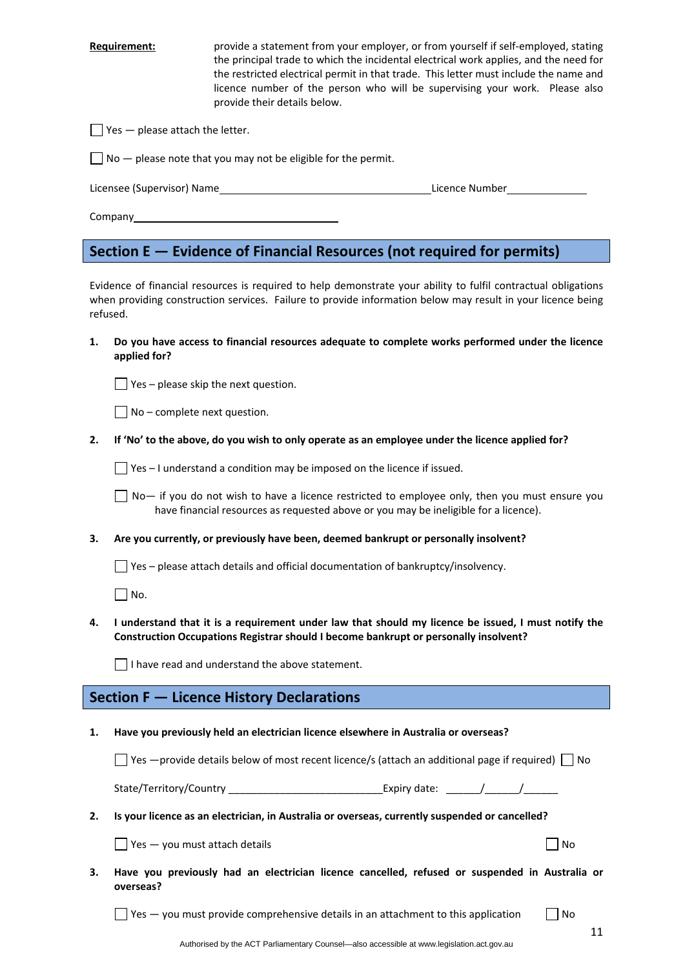**Requirement:** *provide a statement from your employer, or from yourself if self-employed, stating* the principal trade to which the incidental electrical work applies, and the need for the restricted electrical permit in that trade. This letter must include the name and licence number of the person who will be supervising your work. Please also provide their details below.

 $\Box$  Yes  $-$  please attach the letter.

 $\Box$  No  $-$  please note that you may not be eligible for the permit.

Licensee (Supervisor) Name Licence Number

Company\_

## **Section E — Evidence of Financial Resources (not required for permits)**

Evidence of financial resources is required to help demonstrate your ability to fulfil contractual obligations when providing construction services. Failure to provide information below may result in your licence being refused.

**1. Do you have access to financial resources adequate to complete works performed under the licence applied for?** 

 $\Box$  Yes – please skip the next question.

 $\Box$  No – complete next question.

2. If 'No' to the above, do you wish to only operate as an employee under the licence applied for?

 $\Box$  Yes – I understand a condition may be imposed on the licence if issued.

 $\Box$  No— if you do not wish to have a licence restricted to employee only, then you must ensure you have financial resources as requested above or you may be ineligible for a licence).

**3. Are you currently, or previously have been, deemed bankrupt or personally insolvent?** 

 $\Box$  Yes – please attach details and official documentation of bankruptcy/insolvency.

 $\Box$  No.

4. I understand that it is a requirement under law that should my licence be issued, I must notify the **Construction Occupations Registrar should I become bankrupt or personally insolvent?** 

 $\Box$  I have read and understand the above statement.

## **Section F — Licence History Declarations**

**1. Have you previously held an electrician licence elsewhere in Australia or overseas?** 

 $\Box$  Yes —provide details below of most recent licence/s (attach an additional page if required)  $\Box$  No

State/Territory/Country \_\_\_\_\_\_\_\_\_\_\_\_\_\_\_\_\_\_\_\_\_\_\_\_\_\_\_Expiry date: \_\_\_\_\_\_/\_\_\_\_\_\_/\_\_\_\_\_\_

### **2. Is your licence as an electrician, in Australia or overseas, currently suspended or cancelled?**

 $\Box$  Yes — you must attach details  $\Box$  No

**3. Have you previously had an electrician licence cancelled, refused or suspended in Australia or overseas?** 

 $\Box$  Yes — you must provide comprehensive details in an attachment to this application  $\Box$  No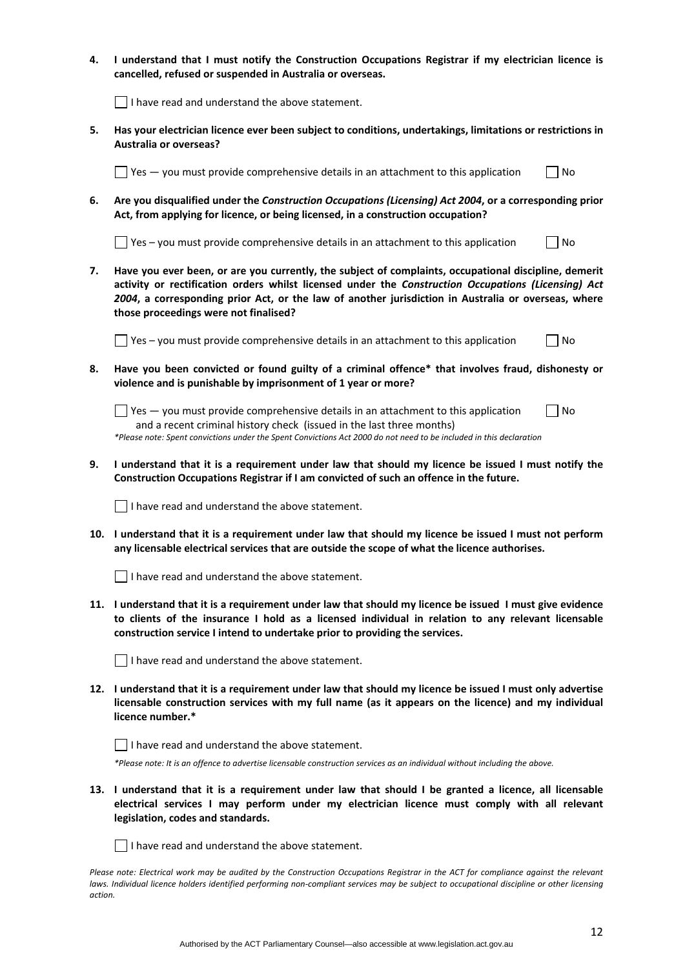- **4. I understand that I must notify the Construction Occupations Registrar if my electrician licence is cancelled, refused or suspended in Australia or overseas.**   $\vert \ \vert$  I have read and understand the above statement. **5. Has your electrician licence ever been subject to conditions, undertakings, limitations or restrictions in Australia or overseas?**   $\Box$  Yes  $-$  vou must provide comprehensive details in an attachment to this application  $\Box$  No **6. Are you disqualified under the** *Construction Occupations (Licensing) Act 2004***, or a corresponding prior Act, from applying for licence, or being licensed, in a construction occupation?**   $\Box$  Yes – you must provide comprehensive details in an attachment to this application  $\Box$  No
	- **7. Have you ever been, or are you currently, the subject of complaints, occupational discipline, demerit activity or rectification orders whilst licensed under the** *Construction Occupations (Licensing) Act 2004***, a corresponding prior Act, or the law of another jurisdiction in Australia or overseas, where those proceedings were not finalised?**

 $\Box$  Yes – you must provide comprehensive details in an attachment to this application  $\Box$  No

**8. Have you been convicted or found guilty of a criminal offence\* that involves fraud, dishonesty or violence and is punishable by imprisonment of 1 year or more?** 

| $\Box$ Yes $-$ you must provide comprehensive details in an attachment to this application                          | $\Box$ No |  |
|---------------------------------------------------------------------------------------------------------------------|-----------|--|
| and a recent criminal history check (issued in the last three months)                                               |           |  |
| *Please note: Spent convictions under the Spent Convictions Act 2000 do not need to be included in this declaration |           |  |

9. I understand that it is a requirement under law that should my licence be issued I must notify the **Construction Occupations Registrar if I am convicted of such an offence in the future.** 

 $\Box$  I have read and understand the above statement.

10. I understand that it is a requirement under law that should my licence be issued I must not perform **any licensable electrical services that are outside the scope of what the licence authorises.** 

 $\Box$  I have read and understand the above statement.

11. I understand that it is a requirement under law that should my licence be issued I must give evidence **to clients of the insurance I hold as a licensed individual in relation to any relevant licensable construction service I intend to undertake prior to providing the services.** 

| $\Box$ I have read and understand the above statement. |
|--------------------------------------------------------|
|--------------------------------------------------------|

12. I understand that it is a requirement under law that should my licence be issued I must only advertise **licensable construction services with my full name (as it appears on the licence) and my individual licence number.\*** 



\*Please note: It is an offence to advertise licensable construction services as an individual without including the above.

13. I understand that it is a requirement under law that should I be granted a licence, all licensable **electrical services I may perform under my electrician licence must comply with all relevant legislation, codes and standards.** 

 $\Box$  I have read and understand the above statement.

Please note: Electrical work may be audited by the Construction Occupations Registrar in the ACT for compliance against the relevant laws. Individual licence holders identified performing non-compliant services may be subject to occupational discipline or other licensing *action.*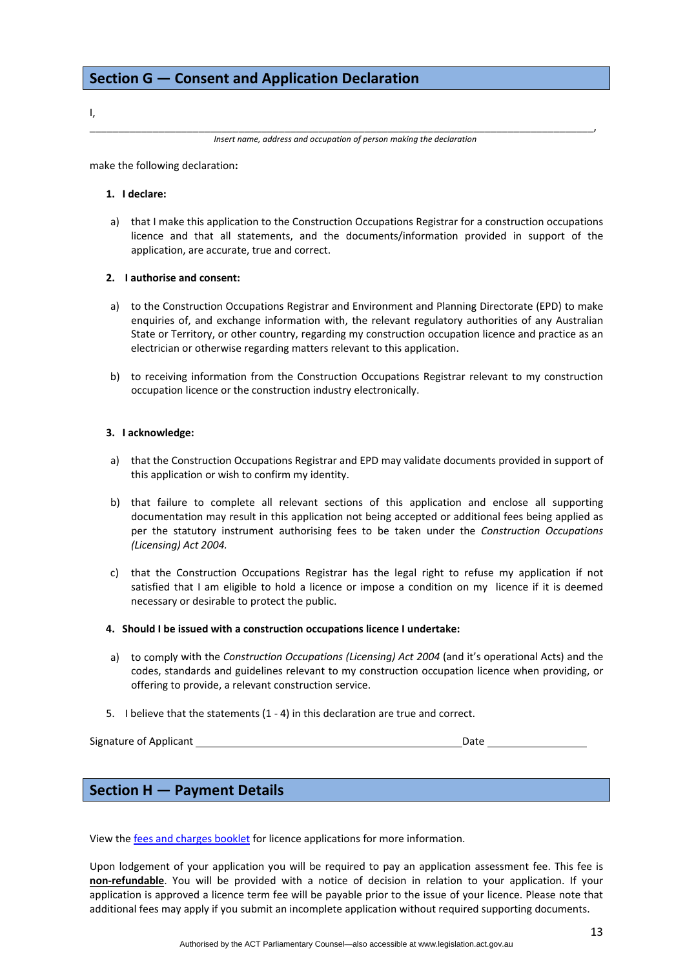I,

\_\_\_\_\_\_\_\_\_\_\_\_\_\_\_\_\_\_\_\_\_\_\_\_\_\_\_\_\_\_\_\_\_\_\_\_\_\_\_\_\_\_\_\_\_\_\_\_\_\_\_\_\_\_\_\_\_\_\_\_\_\_\_\_\_\_\_\_\_\_\_\_\_\_\_\_\_\_\_\_\_\_\_\_\_\_\_\_, *Insert name, address and occupation of person making the declaration*

make the following declaration**:**

#### **1. I declare:**

a) that I make this application to the Construction Occupations Registrar for a construction occupations licence and that all statements, and the documents/information provided in support of the application, are accurate, true and correct.

#### **2. I authorise and consent:**

- a) to the Construction Occupations Registrar and Environment and Planning Directorate (EPD) to make enquiries of, and exchange information with, the relevant regulatory authorities of any Australian State or Territory, or other country, regarding my construction occupation licence and practice as an electrician or otherwise regarding matters relevant to this application.
- b) to receiving information from the Construction Occupations Registrar relevant to my construction occupation licence or the construction industry electronically.

#### **3. I acknowledge:**

- a) that the Construction Occupations Registrar and EPD may validate documents provided in support of this application or wish to confirm my identity.
- b) that failure to complete all relevant sections of this application and enclose all supporting documentation may result in this application not being accepted or additional fees being applied as per the statutory instrument authorising fees to be taken under the *Construction Occupations (Licensing) Act 2004.*
- c) that the Construction Occupations Registrar has the legal right to refuse my application if not satisfied that I am eligible to hold a licence or impose a condition on my licence if it is deemed necessary or desirable to protect the public.
- **4. Should I be issued with a construction occupations licence I undertake:**
- a) to comply with the *Construction Occupations (Licensing) Act 2004* (and it's operational Acts) and the codes, standards and guidelines relevant to my construction occupation licence when providing, or offering to provide, a relevant construction service.
- 5. I believe that the statements (1 ‐ 4) in this declaration are true and correct.

Signature of Applicant *Date*  $\blacksquare$ 

## **Section H — Payment Details**

View the fees and [charges](http://www.actpla.act.gov.au/__data/assets/pdf_file/0004/18148/2014-15_Fees_and_charges_-_ACCESS-31July.pdf) booklet for licence applications for more information.

Upon lodgement of your application you will be required to pay an application assessment fee. This fee is **non‐refundable**. You will be provided with a notice of decision in relation to your application. If your application is approved a licence term fee will be payable prior to the issue of your licence. Please note that additional fees may apply if you submit an incomplete application without required supporting documents.